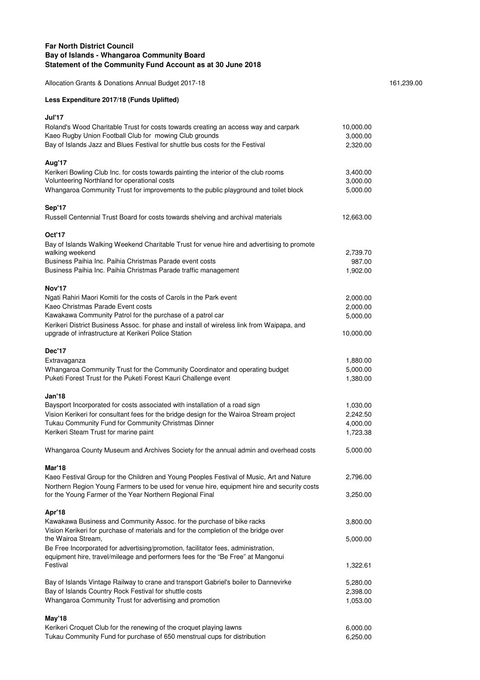## **Far North District Council Bay of Islands - Whangaroa Community Board Statement of the Community Fund Account as at 30 June 2018**

Allocation Grants & Donations Annual Budget 2017-18 161,239.00

## **Less Expenditure 2017/18 (Funds Uplifted)**

| Jul'17<br>Roland's Wood Charitable Trust for costs towards creating an access way and carpark                                                      | 10,000.00            |
|----------------------------------------------------------------------------------------------------------------------------------------------------|----------------------|
| Kaeo Rugby Union Football Club for mowing Club grounds                                                                                             | 3,000.00             |
| Bay of Islands Jazz and Blues Festival for shuttle bus costs for the Festival                                                                      | 2,320.00             |
| Aug'17                                                                                                                                             |                      |
| Kerikeri Bowling Club Inc. for costs towards painting the interior of the club rooms<br>Volunteering Northland for operational costs               | 3,400.00<br>3,000.00 |
| Whangaroa Community Trust for improvements to the public playground and toilet block                                                               | 5,000.00             |
| Sep'17                                                                                                                                             |                      |
| Russell Centennial Trust Board for costs towards shelving and archival materials                                                                   | 12,663.00            |
| Oct'17                                                                                                                                             |                      |
| Bay of Islands Walking Weekend Charitable Trust for venue hire and advertising to promote                                                          |                      |
| walking weekend<br>Business Paihia Inc. Paihia Christmas Parade event costs                                                                        | 2,739.70             |
| Business Paihia Inc. Paihia Christmas Parade traffic management                                                                                    | 987.00<br>1,902.00   |
| Nov'17                                                                                                                                             |                      |
| Ngati Rahiri Maori Komiti for the costs of Carols in the Park event                                                                                | 2,000.00             |
| Kaeo Christmas Parade Event costs                                                                                                                  | 2,000.00             |
| Kawakawa Community Patrol for the purchase of a patrol car                                                                                         | 5,000.00             |
| Kerikeri District Business Assoc. for phase and install of wireless link from Waipapa, and<br>upgrade of infrastructure at Kerikeri Police Station | 10,000.00            |
| Dec'17                                                                                                                                             |                      |
| Extravaganza                                                                                                                                       | 1,880.00             |
| Whangaroa Community Trust for the Community Coordinator and operating budget<br>Puketi Forest Trust for the Puketi Forest Kauri Challenge event    | 5,000.00<br>1,380.00 |
| Jan'18                                                                                                                                             |                      |
| Baysport Incorporated for costs associated with installation of a road sign                                                                        | 1,030.00             |
| Vision Kerikeri for consultant fees for the bridge design for the Wairoa Stream project                                                            | 2,242.50             |
| Tukau Community Fund for Community Christmas Dinner<br>Kerikeri Steam Trust for marine paint                                                       | 4,000.00<br>1,723.38 |
|                                                                                                                                                    |                      |
| Whangaroa County Museum and Archives Society for the annual admin and overhead costs                                                               | 5,000.00             |
| Mar'18<br>Kaeo Festival Group for the Children and Young Peoples Festival of Music, Art and Nature                                                 | 2,796.00             |
| Northern Region Young Farmers to be used for venue hire, equipment hire and security costs                                                         |                      |
| for the Young Farmer of the Year Northern Regional Final                                                                                           | 3,250.00             |
| Apr'18                                                                                                                                             |                      |
| Kawakawa Business and Community Assoc. for the purchase of bike racks                                                                              | 3,800.00             |
| Vision Kerikeri for purchase of materials and for the completion of the bridge over<br>the Wairoa Stream,                                          | 5,000.00             |
| Be Free Incorporated for advertising/promotion, facilitator fees, administration,                                                                  |                      |
| equipment hire, travel/mileage and performers fees for the "Be Free" at Mangonui<br>Festival                                                       | 1,322.61             |
| Bay of Islands Vintage Railway to crane and transport Gabriel's boiler to Dannevirke                                                               | 5,280.00             |
| Bay of Islands Country Rock Festival for shuttle costs                                                                                             | 2,398.00             |
| Whangaroa Community Trust for advertising and promotion                                                                                            | 1,053.00             |
| May'18                                                                                                                                             |                      |
| Kerikeri Croquet Club for the renewing of the croquet playing lawns<br>Tukau Community Fund for purchase of 650 menstrual cups for distribution    | 6,000.00<br>6,250.00 |
|                                                                                                                                                    |                      |